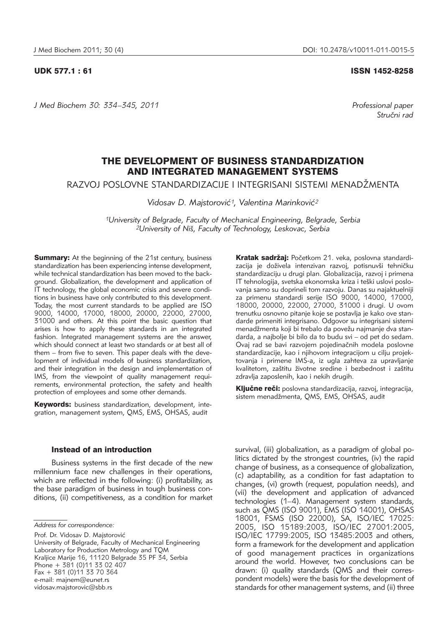*J Med Biochem 30: 334–345, 2011 Professional paper*

UDK 577.1 : 61 ISSN 1452-8258

Stručni rad

# THE DEVELOPMENT OF BUSINESS STANDARDIZATION AND INTEGRATED MANAGEMENT SYSTEMS

RAZVOJ POSLOVNE STANDARDIZACIJE I INTEGRISANI SISTEMI MENADŽMENTA

Vidosav D. Majstorović<sup>1</sup>, Valentina Marinković<sup>2</sup>

*1University of Belgrade, Faculty of Mechanical Engineering, Belgrade, Serbia 2University of Ni{, Faculty of Technology, Leskovac, Serbia*

**Summary:** At the beginning of the 21st century, business standardization has been experiencing intense development, while technical standardization has been moved to the background. Globalization, the development and application of IT technology, the global economic crisis and severe conditions in business have only contributed to this development. Today, the most current standards to be applied are ISO 9000, 14000, 17000, 18000, 20000, 22000, 27000, 31000 and others. At this point the basic question that arises is how to apply these standards in an integrated fashion. Integrated management systems are the answer, which should connect at least two standards or at best all of them – from five to seven. This paper deals with the development of individual models of business standardization, and their integration in the design and implementation of IMS, from the viewpoint of quality management requirements, environmental protection, the safety and health protection of employees and some other demands.

Keywords: business standardization, development, integration, management system, QMS, EMS, OHSAS, audit

### Instead of an introduction

Business systems in the first decade of the new millennium face new challenges in their operations, which are reflected in the following: (i) profitability, as the base paradigm of business in tough business conditions, (ii) competitiveness, as a condition for market

*Address for correspondence:*

Prof. Dr. Vidosav D. Majstorović University of Belgrade, Faculty of Mechanical Engineering Laboratory for Production Metrology and TQM Kraljice Marije 16, 11120 Belgrade 35 PF 34, Serbia Phone + 381 (0) 11 33 02 407 Fax + 381 (0)11 33 70 364 e-mail: majnem@eunet.rs vidosav.majstorovic@sbb.rs

Kratak sadržaj: Početkom 21. veka, poslovna standardizacija je doživela intenzivan razvoj, potisnuvši tehničku standardizaciju u drugi plan. Globalizacija, razvoj i primena IT tehnologija, svetska ekonomska kriza i teški uslovi poslovanja samo su doprineli tom razvoju. Danas su najaktuelniji za primenu standardi serije ISO 9000, 14000, 17000, 18000, 20000, 22000, 27000, 31000 i drugi. U ovom trenutku osnovno pitanje koje se postavlja je kako ove standarde primeniti integrisano. Odgovor su integrisani sistemi menadžmenta koji bi trebalo da povežu najmanje dva standarda, a najbolje bi bilo da to budu svi – od pet do sedam. Ovaj rad se bavi razvojem pojedinačnih modela poslovne standardizacije, kao i njihovom integracijom u cilju projekto vanja i primene IMS-a, iz ugla zahteva za upravljanje kvalitetom, zaštitu životne sredine i bezbednost i zaštitu zdravlja zaposlenih, kao i nekih drugih.

Ključne reči: poslovna standardizacija, razvoj, integracija, sistem menadžmenta, QMS, EMS, OHSAS, audit

survival, (iii) globalization, as a paradigm of global politics dictated by the strongest countries, (iv) the rapid change of business, as a consequence of globalization, (c) adaptability, as a condition for fast adaptation to changes, (vi) growth (request, population needs), and (vii) the development and application of advanced technologies (1–4). Management system standards, such as QMS (ISO 9001), EMS (ISO 14001), OHSAS 18001, FSMS (ISO 22000), SA, ISO/IEC 17025: 2005, ISO 15189:2003, ISO/IEC 27001:2005, ISO/IEC 17799:2005, ISO 13485:2003 and others, form a framework for the development and application of good management practices in organizations around the world. However, two conclusions can be drawn: (i) quality standards (OMS and their correspondent models) were the basis for the development of standards for other management systems, and (ii) three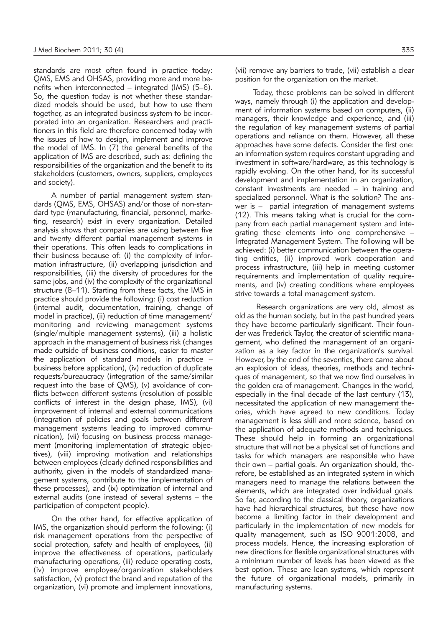standards are most often found in practice today: QMS, EMS and OHSAS, providing more and more benefits when interconnected – integrated (IMS) (5–6). So, the question today is not whether these standardized models should be used, but how to use them together, as an integrated business system to be incorporated into an organization. Researchers and practitioners in this field are therefore concerned today with the issues of how to design, implement and improve the model of IMS. In (7) the general benefits of the application of IMS are described, such as: defining the responsibilities of the organization and the benefit to its stakeholders (customers, owners, suppliers, employees and society).

A number of partial management system standards (QMS, EMS, OHSAS) and/or those of non-standard type (manufacturing, financial, personnel, marketing, research) exist in every organization. Detailed analysis shows that companies are using between five and twenty different partial management systems in their operations. This often leads to complications in their business because of: (i) the complexity of information infrastructure, (ii) overlapping jurisdiction and responsibilities, (iii) the diversity of procedures for the same jobs, and (iv) the complexity of the organizational structure (8–11). Starting from these facts, the IMS in practice should provide the following: (i) cost reduction (internal audit, documentation, training, change of model in practice), (ii) reduction of time management/ monitoring and reviewing management systems (single/multiple management systems), (iii) a holistic approach in the management of business risk (changes made outside of business conditions, easier to master the application of standard models in practice – business before application), (iv) reduction of duplicate requests/bureaucracy (integration of the same/similar request into the base of QMS), (v) avoidance of conflicts between different systems (resolution of possible conflicts of interest in the design phase, IMS), (vi) improvement of internal and external communications (integration of policies and goals between different management systems leading to improved communication), (vii) focusing on business process management (monitoring implementation of strategic objectives), (viii) improving motivation and relationships between employees (clearly defined responsibilities and authority, given in the models of standardized management systems, contribute to the implementation of these processes), and (ix) optimization of internal and external audits (one instead of several systems – the participation of competent people).

On the other hand, for effective application of IMS, the organization should perform the following: (i) risk management operations from the perspective of social protection, safety and health of employees, (ii) improve the effectiveness of operations, particularly manufacturing operations, (iii) reduce operating costs, (iv) improve employee/organization stakeholders satisfaction, (v) protect the brand and reputation of the organization, (vi) promote and implement innovations,

(vii) remove any barriers to trade, (vii) establish a clear position for the organization on the market.

Today, these problems can be solved in different ways, namely through (i) the application and development of information systems based on computers, (ii) managers, their knowledge and experience, and (iii) the regulation of key management systems of partial operations and reliance on them. However, all these approaches have some defects. Consider the first one: an information system requires constant upgrading and investment in software/hardware, as this technology is rapidly evolving. On the other hand, for its successful development and implementation in an organization, constant investments are needed – in training and specialized personnel. What is the solution? The answer is – partial integration of management systems (12). This means taking what is crucial for the company from each partial management system and integrating these elements into one comprehensive – Integrated Management System. The following will be achieved: (i) better communication between the operating entities, (ii) improved work cooperation and process infrastructure, (iii) help in meeting customer requirements and implementation of quality requirements, and (iv) creating conditions where employees strive towards a total management system.

Research organizations are very old, almost as old as the human society, but in the past hundred years they have become particularly significant. Their founder was Frederick Taylor, the creator of scientific mana gement, who defined the management of an organization as a key factor in the organization's survival. However, by the end of the seventies, there came about an explosion of ideas, theories, methods and techniques of management, so that we now find ourselves in the golden era of management. Changes in the world, especially in the final decade of the last century (13), necessitated the application of new management theories, which have agreed to new conditions. Today mana gement is less skill and more science, based on the application of adequate methods and techniques. These should help in forming an organizational structure that will not be a physical set of functions and tasks for which managers are responsible who have their own – partial goals. An organization should, therefore, be established as an integrated system in which managers need to manage the relations between the elements, which are integrated over individual goals. So far, according to the classical theory, organizations have had hierarchical structures, but these have now become a limiting factor in their development and particularly in the implementation of new models for quality management, such as ISO 9001:2008, and process models. Hence, the increasing exploration of new directions for flexible organizational structures with a minimum number of levels has been viewed as the best option. These are lean systems, which represent the future of organizational models, primarily in manufacturing systems.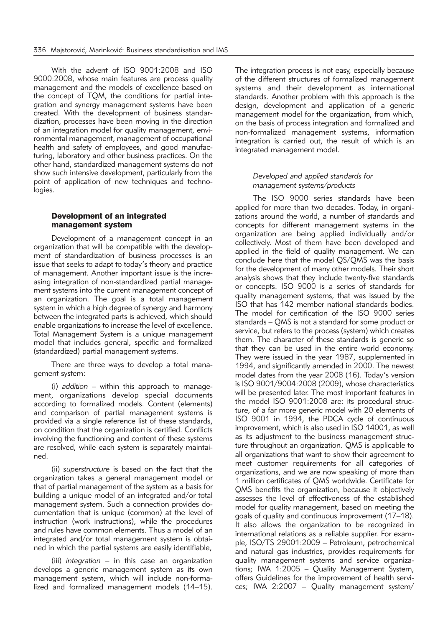With the advent of ISO 9001:2008 and ISO 9000:2008, whose main features are process quality management and the models of excellence based on the concept of TOM, the conditions for partial integration and synergy management systems have been created. With the development of business standardization, processes have been moving in the direction of an integration model for quality management, environmental management, management of occupational health and safety of employees, and good manufacturing, laboratory and other business practices. On the other hand, standardized management systems do not show such intensive development, particularly from the point of application of new techniques and technologies.

## Development of an integrated management system

Development of a management concept in an organization that will be compatible with the development of standardization of business processes is an issue that seeks to adapt to today's theory and practice of management. Another important issue is the incre asing integration of non-standardized partial manage ment systems into the current management concept of an organization. The goal is a total management system in which a high degree of synergy and harmony between the integrated parts is achieved, which should enable organizations to increase the level of excellence. Total Management System is a unique management model that includes general, specific and formalized (standardized) partial management systems.

There are three ways to develop a total management system:

(i) *addition* – within this approach to management, organizations develop special documents according to formalized models. Content (elements) and comparison of partial management systems is provided via a single reference list of these standards, on condition that the organization is certified. Conflicts involving the functioning and content of these systems are resolved, while each system is separately maintained.

(ii) *superstructure* is based on the fact that the organization takes a general management model or that of partial management of the system as a basis for building a unique model of an integrated and/or total management system. Such a connection provides documentation that is unique (common) at the level of instruction (work instructions), while the procedures and rules have common elements. Thus a model of an integrated and/or total management system is obtained in which the partial systems are easily identifiable,

(iii) *integration* – in this case an organization develops a generic management system as its own management system, which will include non-formalized and formalized management models (14–15).

The integration process is not easy, especially because of the different structures of formalized management systems and their development as international standards. Another problem with this approach is the design, development and application of a generic management model for the organization, from which, on the basis of process integration and formalized and non-formalized management systems, information integration is carried out, the result of which is an integrated management model.

# *Developed and applied standards for management systems/products*

The ISO 9000 series standards have been applied for more than two decades. Today, in organizations around the world, a number of standards and concepts for different management systems in the organization are being applied individually and/or collectively. Most of them have been developed and applied in the field of quality management. We can conclude here that the model QS/QMS was the basis for the development of many other models. Their short analysis shows that they include twenty-five standards or concepts. ISO 9000 is a series of standards for quality management systems, that was issued by the ISO that has 142 member national standards bodies. The model for certification of the ISO 9000 series standards – QMS is not a standard for some product or service, but refers to the process (system) which creates them. The character of these standards is generic so that they can be used in the entire world economy. They were issued in the year 1987, supplemented in 1994, and significantly amended in 2000. The newest model dates from the year 2008 (16). Today's version is ISO 9001/9004:2008 (2009), whose characteristics will be presented later. The most important features in the model ISO 9001:2008 are: its procedural structure, of a far more generic model with 20 elements of ISO 9001 in 1994, the PDCA cycle of continuous improvement, which is also used in ISO 14001, as well as its adjustment to the business management structure throughout an organization. QMS is applicable to all organizations that want to show their agreement to meet customer requirements for all categories of organizations, and we are now speaking of more than 1 million certificates of QMS worldwide. Certificate for QMS benefits the organization, because it objectively assesses the level of effectiveness of the established model for quality management, based on meeting the goals of quality and continuous improvement (17–18). It also allows the organization to be recognized in international relations as a reliable supplier. For example, ISO/TS 29001:2009 – Petroleum, petrochemical and natural gas industries, provides requirements for quality management systems and service organizations; IWA 1:2005 – Quality Management System, offers Guidelines for the improvement of health services; IWA 2:2007 – Quality management system/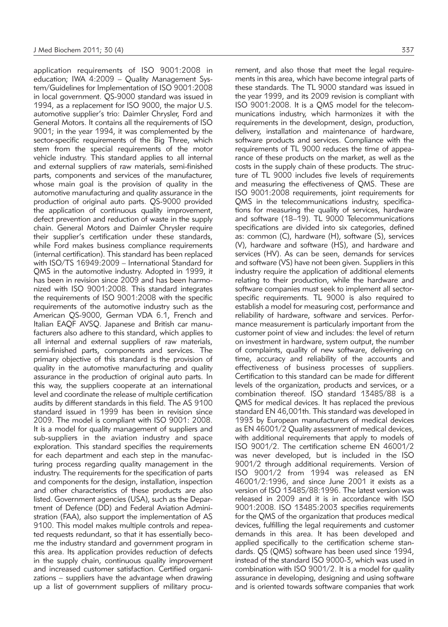application requirements of ISO 9001:2008 in education; IWA 4:2009 - Ouality Management System/Guidelines for Implementation of ISO 9001:2008 in local government. QS-9000 standard was issued in 1994, as a replacement for ISO 9000, the major U.S. automotive supplier's trio: Daimler Chrysler, Ford and General Motors. It contains all the requirements of ISO 9001; in the year 1994, it was complemented by the sector-specific requirements of the Big Three, which stem from the special requirements of the motor vehicle industry. This standard applies to all internal and external suppliers of raw materials, semi-finished parts, components and services of the manufacturer, whose main goal is the provision of quality in the automotive manufacturing and quality assurance in the production of original auto parts. QS-9000 provided the application of continuous quality improvement, defect prevention and reduction of waste in the supply chain. General Motors and Daimler Chrysler require their supplier's certification under these standards, while Ford makes business compliance requirements (internal certification). This standard has been replaced with ISO/TS 16949:2009 – International Standard for QMS in the automotive industry. Adopted in 1999, it has been in revision since 2009 and has been harmonized with ISO 9001:2008. This standard integrates the requirements of ISO 9001:2008 with the specific requirements of the automotive industry such as the American QS-9000, German VDA 6.1, French and Italian EAQF AVSQ. Japanese and British car manufacturers also adhere to this standard, which applies to all internal and external suppliers of raw materials, semi-finished parts, components and services. The primary objective of this standard is the provision of quality in the automotive manufacturing and quality assurance in the production of original auto parts. In this way, the suppliers cooperate at an international level and coordinate the release of multiple certification audits by different standards in this field. The AS 9100 standard issued in 1999 has been in revision since 2009. The model is compliant with ISO 9001: 2008. It is a model for quality management of suppliers and sub-suppliers in the aviation industry and space exploration. This standard specifies the requirements for each department and each step in the manufacturing process regarding quality management in the industry. The requirements for the specification of parts and components for the design, installation, inspection and other characteristics of these products are also listed. Government agencies (USA), such as the Department of Defence (DD) and Federal Aviation Administration (FAA), also support the implementation of AS 9100. This model makes multiple controls and repeated requests redundant, so that it has essentially become the industry standard and government program in this area. Its application provides reduction of defects in the supply chain, continuous quality improvement and increased customer satisfaction. Certified organizations – suppliers have the advantage when drawing up a list of government suppliers of military procu-

rement, and also those that meet the legal requirements in this area, which have become integral parts of these standards. The TL 9000 standard was issued in the year 1999, and its 2009 revision is compliant with ISO 9001:2008. It is a QMS model for the telecommunications industry, which harmonizes it with the requirements in the development, design, production, delivery, installation and maintenance of hardware, software products and services. Compliance with the requirements of TL 9000 reduces the time of appearance of these products on the market, as well as the costs in the supply chain of these products. The structure of TL 9000 includes five levels of requirements and measuring the effectiveness of QMS. These are ISO 9001:2008 requirements, joint requirements for QMS in the telecommunications industry, specifications for measuring the quality of services, hardware and software (18–19). TL 9000 Telecommunications specifications are divided into six categories, defined as: common (C), hardware (H), software (S), services (V), hardware and software (HS), and hardware and services (HV). As can be seen, demands for services and software (VS) have not been given. Suppliers in this industry require the application of additional elements relating to their production, while the hardware and software companies must seek to implement all sectorspecific requirements. TL 9000 is also required to establish a model for measuring cost, performance and reliability of hardware, software and services. Performance measurement is particularly important from the customer point of view and includes: the level of return on investment in hardware, system output, the number of complaints, quality of new software, delivering on time, accuracy and reliability of the accounts and effectiveness of business processes of suppliers. Certification to this standard can be made for different levels of the organization, products and services, or a combination thereof. ISO standard 13485/88 is a QMS for medical devices. It has replaced the previous standard EN 46,001th. This standard was developed in 1993 by European manufacturers of medical devices as EN 46001/2 Quality assessment of medical devices, with additional requirements that apply to models of ISO 9001/2. The certification scheme EN 46001/2 was never developed, but is included in the ISO 9001/2 through additional requirements. Version of ISO 9001/2 from 1994 was released as EN 46001/2:1996, and since June 2001 it exists as a version of ISO 13485/88:1996. The latest version was released in 2009 and it is in accordance with ISO 9001:2008. ISO 13485:2003 specifies requirements for the QMS of the organization that produces medical devices, fulfilling the legal requirements and customer demands in this area. It has been developed and applied specifically to the certification scheme standards. QS (QMS) software has been used since 1994, instead of the standard ISO 9000-3, which was used in combination with ISO 9001/2. It is a model for quality assurance in developing, designing and using software and is oriented towards software companies that work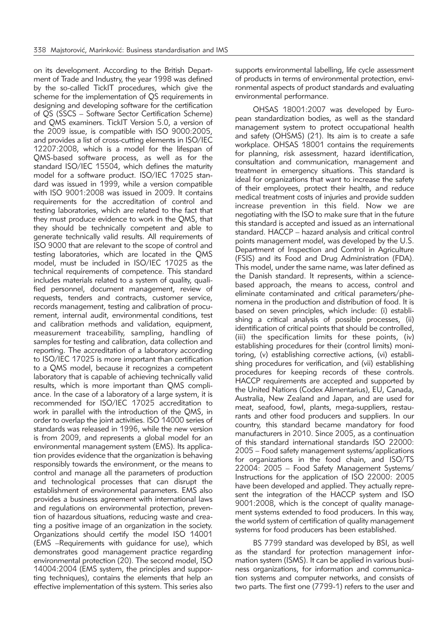on its development. According to the British Department of Trade and Industry, the year 1998 was defined by the so-called TickIT procedures, which give the scheme for the implementation of QS requirements in designing and developing software for the certification of QS (SSCS – Software Sector Certification Scheme) and QMS examiners. TickIT Version 5.0, a version of the 2009 issue, is compatible with ISO 9000:2005, and provides a list of cross-cutting elements in ISO/IEC 12207:2008, which is a model for the lifespan of QMS-based software process, as well as for the standard ISO/IEC 15504, which defines the maturity model for a software product. ISO/IEC 17025 standard was issued in 1999, while a version compatible with ISO 9001:2008 was issued in 2009. It contains requirements for the accreditation of control and testing laboratories, which are related to the fact that they must produce evidence to work in the QMS, that they should be technically competent and able to generate technically valid results. All requirements of ISO 9000 that are relevant to the scope of control and testing laboratories, which are located in the QMS model, must be included in ISO/IEC 17025 as the technical requirements of competence. This standard includes materials related to a system of quality, qualified personnel, document management, review of requests, tenders and contracts, customer service, records management, testing and calibration of procurement, internal audit, environmental conditions, test and calibration methods and validation, equipment, measurement traceability, sampling, handling of samples for testing and calibration, data collection and reporting. The accreditation of a laboratory according to ISO/IEC 17025 is more important than certification to a QMS model, because it recognizes a competent laboratory that is capable of achieving technically valid results, which is more important than QMS compliance. In the case of a laboratory of a large system, it is recommended for ISO/IEC 17025 accreditation to work in parallel with the introduction of the QMS, in order to overlap the joint activities. ISO 14000 series of standards was released in 1996, while the new version is from 2009, and represents a global model for an environmental management system (EMS). Its application provides evidence that the organization is behaving responsibly towards the environment, or the means to control and manage all the parameters of production and technological processes that can disrupt the establishment of environmental parameters. EMS also provides a business agreement with international laws and regulations on environmental protection, prevention of hazardous situations, reducing waste and creating a positive image of an organization in the society. Organizations should certify the model ISO 14001 (EMS –Requirements with guidance for use), which demonstrates good management practice regarding environmental protection (20). The second model, ISO 14004:2004 (EMS system, the principles and supporting techniques), contains the elements that help an effective implementation of this system. This series also supports environmental labelling, life cycle assessment of products in terms of environmental protection, environ mental aspects of product standards and evaluating environmental performance.

OHSAS 18001:2007 was developed by European standardization bodies, as well as the standard management system to protect occupational health and safety (OHSMS) (21). Its aim is to create a safe workplace. OHSAS 18001 contains the requirements for planning, risk assessment, hazard identification, consultation and communication, management and treatment in emergency situations. This standard is ideal for organizations that want to increase the safety of their employees, protect their health, and reduce medical treatment costs of injuries and provide sudden increase prevention in this field. Now we are negotiating with the ISO to make sure that in the future this standard is accepted and issued as an international standard. HACCP – hazard analysis and critical control points management model, was developed by the U.S. Department of Inspection and Control in Agriculture (FSIS) and its Food and Drug Administration (FDA). This model, under the same name, was later defined as the Danish standard. It represents, within a sciencebased approach, the means to access, control and eliminate contaminated and critical parameters/phenomena in the production and distribution of food. It is based on seven principles, which include: (i) establishing a critical analysis of possible processes, (ii) identification of critical points that should be controlled, (iii) the specification limits for these points, (iv) establishing procedures for their (control limits) monitoring, (v) establishing corrective actions, (vi) establi shing procedures for verification, and (vii) establishing procedures for keeping records of these controls. HACCP requirements are accepted and supported by the United Nations (Codex Alimentarius), EU, Canada, Australia, New Zealand and Japan, and are used for meat, seafood, fowl, plants, mega-suppliers, restaurants and other food producers and suppliers. In our country, this standard became mandatory for food manufacturers in 2010. Since 2005, as a continuation of this standard international standards ISO 22000: 2005 – Food safety management systems/applications for organizations in the food chain, and ISO/TS 22004: 2005 – Food Safety Management Systems/ Instructions for the application of ISO 22000: 2005 have been developed and applied. They actually represent the integration of the HACCP system and ISO 9001:2008, which is the concept of quality management systems extended to food producers. In this way, the world system of certification of quality management systems for food producers has been established.

BS 7799 standard was developed by BSI, as well as the standard for protection management information system (ISMS). It can be applied in various business organizations, for information and communication systems and computer networks, and consists of two parts. The first one (7799-1) refers to the user and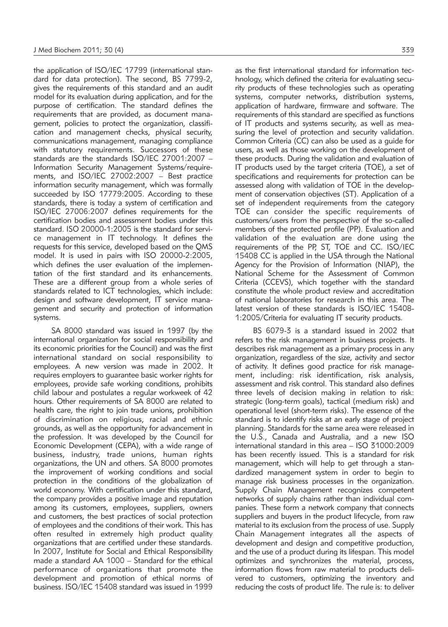the application of ISO/IEC 17799 (international standard for data protection). The second, BS 7799-2, gives the requirements of this standard and an audit model for its evaluation during application, and for the purpose of certification. The standard defines the requirements that are provided, as document management, policies to protect the organization, classification and management checks, physical security, communications management, managing compliance with statutory requirements. Successors of these standards are the standards ISO/IEC 27001:2007 – Information Security Management Systems/requirements, and ISO/IEC 27002:2007 – Best practice information security management, which was formally succeeded by ISO 17779:2005. According to these standards, there is today a system of certification and ISO/IEC 27006:2007 defines requirements for the certification bodies and assessment bodies under this standard. ISO 20000-1:2005 is the standard for service management in IT technology. It defines the requests for this service, developed based on the QMS model. It is used in pairs with ISO 20000-2:2005, which defines the user evaluation of the implementation of the first standard and its enhancements. These are a different group from a whole series of standards related to ICT technologies, which include: design and software development, IT service management and security and protection of information systems.

SA 8000 standard was issued in 1997 (by the international organization for social responsibility and its economic priorities for the Council) and was the first international standard on social responsibility to employees. A new version was made in 2002. It requires employers to guarantee basic worker rights for employees, provide safe working conditions, prohibits child labour and postulates a regular workweek of 42 hours. Other requirements of SA 8000 are related to health care, the right to join trade unions, prohibition of discrimination on religious, racial and ethnic grounds, as well as the opportunity for advancement in the profession. It was developed by the Council for Economic Development (CEPA), with a wide range of business, industry, trade unions, human rights organizations, the UN and others. SA 8000 promotes the improvement of working conditions and social protection in the conditions of the globalization of world economy. With certification under this standard, the company provides a positive image and reputation among its customers, employees, suppliers, owners and customers, the best practices of social protection of employees and the conditions of their work. This has often resulted in extremely high product quality organizations that are certified under these standards. In 2007, Institute for Social and Ethical Responsibility made a standard AA 1000 – Standard for the ethical performance of organizations that promote the development and promotion of ethical norms of business. ISO/IEC 15408 standard was issued in 1999

as the first international standard for information technology, which defined the criteria for evaluating security products of these technologies such as operating systems, computer networks, distribution systems, application of hardware, firmware and software. The requirements of this standard are specified as functions of IT products and systems security, as well as measuring the level of protection and security validation. Common Criteria (CC) can also be used as a guide for users, as well as those working on the development of these products. During the validation and evaluation of IT products used by the target criteria (TOE), a set of specifications and requirements for protection can be assessed along with validation of TOE in the development of conservation objectives (ST). Application of a set of independent requirements from the category TOE can consider the specific requirements of customers/users from the perspective of the so-called members of the protected profile (PP). Evaluation and validation of the evaluation are done using the requirements of the PP, ST, TOE and CC. ISO/IEC 15408 CC is applied in the USA through the National Agency for the Provision of Information (NIAP), the National Scheme for the Assessment of Common Criteria (CCEVS), which together with the standard constitute the whole product review and accreditation of national laboratories for research in this area. The latest version of these standards is ISO/IEC 15408- 1:2005/Criteria for evaluating IT security products.

BS 6079-3 is a standard issued in 2002 that refers to the risk management in business projects. It describes risk management as a primary process in any organization, regardless of the size, activity and sector of activity. It defines good practice for risk management, including: risk identification, risk analysis, assessment and risk control. This standard also defines three levels of decision making in relation to risk: strategic (long-term goals), tactical (medium risk) and operational level (short-term risks). The essence of the standard is to identify risks at an early stage of project planning. Standards for the same area were released in the U.S., Canada and Australia, and a new ISO international standard in this area – ISO 31000:2009 has been recently issued. This is a standard for risk management, which will help to get through a standardized management system in order to begin to manage risk business processes in the organization. Supply Chain Management recognizes competent networks of supply chains rather than individual companies. These form a network company that connects suppliers and buyers in the product lifecycle, from raw material to its exclusion from the process of use. Supply Chain Management integrates all the aspects of development and design and competitive production, and the use of a product during its lifespan. This model optimizes and synchronizes the material, process, information flows from raw material to products delivered to customers, optimizing the inventory and reducing the costs of product life. The rule is: to deliver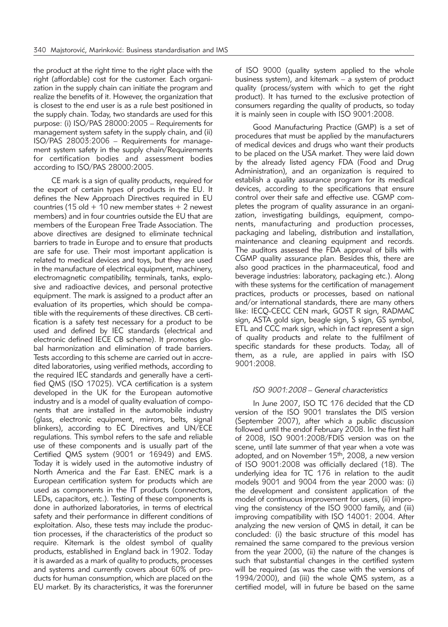the product at the right time to the right place with the right (affordable) cost for the customer. Each organization in the supply chain can initiate the program and realize the benefits of it. However, the organization that is closest to the end user is as a rule best positioned in the supply chain. Today, two standards are used for this purpose: (i) ISO/PAS 28000:2005 – Requirements for management system safety in the supply chain, and (ii) ISO/PAS 28003:2006 - Requirements for management system safety in the supply chain/Requirements for certification bodies and assessment bodies according to ISO/PAS 28000:2005.

CE mark is a sign of quality products, required for the export of certain types of products in the EU. It defines the New Approach Directives required in EU countries (15 old  $+$  10 new member states  $+$  2 newest members) and in four countries outside the EU that are members of the European Free Trade Association. The above directives are designed to eliminate technical barriers to trade in Europe and to ensure that products are safe for use. Their most important application is related to medical devices and toys, but they are used in the manufacture of electrical equipment, machinery, electromagnetic compatibility, terminals, tanks, explosive and radioactive devices, and personal protective equipment. The mark is assigned to a product after an evaluation of its properties, which should be compatible with the requirements of these directives. CB certi fication is a safety test necessary for a product to be used and defined by IEC standards (electrical and electronic defined IECE CB scheme). It promotes global harmonization and elimination of trade barriers. Tests according to this scheme are carried out in accredited laboratories, using verified methods, according to the required IEC standards and generally have a certified QMS (ISO 17025). VCA certification is a system developed in the UK for the European automotive industry and is a model of quality evaluation of components that are installed in the automobile industry (glass, electronic equipment, mirrors, belts, signal blinkers), according to EC Directives and UN/ECE regulations. This symbol refers to the safe and reliable use of these components and is usually part of the Certified QMS system (9001 or 16949) and EMS. Today it is widely used in the automotive industry of North America and the Far East. ENEC mark is a European certification system for products which are used as components in the IT products (connectors, LEDs, capacitors, etc.). Testing of these components is done in authorized laboratories, in terms of electrical safety and their performance in different conditions of exploitation. Also, these tests may include the production processes, if the characteristics of the product so require. Kitemark is the oldest symbol of quality products, established in England back in 1902. Today it is awarded as a mark of quality to products, processes and systems and currently covers about 60% of products for human consumption, which are placed on the EU market. By its characteristics, it was the forerunner

of ISO 9000 (quality system applied to the whole business system), and kitemark – a system of product quality (process/system with which to get the right product). It has turned to the exclusive protection of consumers regarding the quality of products, so today it is mainly seen in couple with ISO 9001:2008.

Good Manufacturing Practice (GMP) is a set of procedures that must be applied by the manufacturers of medical devices and drugs who want their products to be placed on the USA market. They were laid down by the already listed agency FDA (Food and Drug Administration), and an organization is required to establish a quality assurance program for its medical devices, according to the specifications that ensure control over their safe and effective use. CGMP completes the program of quality assurance in an organization, investigating buildings, equipment, components, manufacturing and production processes, packaging and labeling, distribution and installation, maintenance and cleaning equipment and records. The auditors assessed the FDA approval of bills with CGMP quality assurance plan. Besides this, there are also good practices in the pharmaceutical, food and beverage industries: laboratory, packaging etc.). Along with these systems for the certification of management practices, products or processes, based on national and/or international standards, there are many others like: IECQ-CECC CEN mark, GOST R sign, RADMAC sign, ASTA gold sign, beagle sign, S sign, GS symbol, ETL and CCC mark sign, which in fact represent a sign of quality products and relate to the fulfilment of specific standards for these products. Today, all of them, as a rule, are applied in pairs with ISO 9001:2008.

#### *ISO 9001:2008 – General characteristics*

In June 2007, ISO TC 176 decided that the CD version of the ISO 9001 translates the DIS version (September 2007), after which a public discussion followed until the endof February 2008. In the first half of 2008, ISO 9001:2008/FDIS version was on the scene, until late summer of that year when a vote was adopted, and on November 15<sup>th</sup>, 2008, a new version of ISO 9001:2008 was officially declared (18). The underlying idea for TC 176 in relation to the audit models 9001 and 9004 from the year 2000 was: (i) the development and consistent application of the model of continuous improvement for users, (ii) improving the consistency of the ISO 9000 family, and (iii) improving compatibility with ISO 14001: 2004. After analyzing the new version of QMS in detail, it can be concluded: (i) the basic structure of this model has remained the same compared to the previous version from the year 2000, (ii) the nature of the changes is such that substantial changes in the certified system will be required (as was the case with the versions of 1994/2000), and (iii) the whole QMS system, as a certified model, will in future be based on the same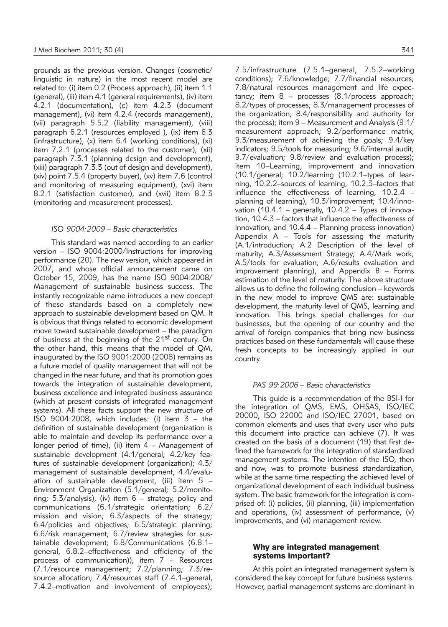grounds as the previous version. Changes (cosmetic/ linguistic in nature) in the most recent model are related to: (i) item 0.2 (Process approach), (ii) item 1.1 (general), (iii) item 4.1 (general requirements), (iv) item 4.2.1 (documentation), (c) item 4.2.3 (document management), (vi) item 4.2.4 (records management), (vii) paragraph 5.5.2 (liability management), (viii) paragraph 6.2.1 (resources employed ), (ix) item 6.3 (infrastructure), (x) item 6.4 (working conditions), (xi) item 7.2.1 (processes related to the customer), (xii) paragraph 7.3.1 (planning design and development), (xiii) paragraph 7.3.3 (out of design and development), (xiv) point 7.5.4 (property buyer), (xv) item 7.6 (control and monitoring of measuring equipment), (xvi) item 8.2.1 (satisfaction customer), and (xvii) item 8.2.3 (monitoring and measurement processes).

#### *ISO 9004:2009 – Basic characteristics*

This standard was named according to an earlier version – ISO 9004:2000/Instructions for improving performance (20). The new version, which appeared in 2007, and whose official announcement came on October 15, 2009, has the name ISO 9004:2008/ Management of sustainable business success. The instantly recognizable name introduces a new concept of these standards based on a completely new approach to sustainable development based on QM. It is obvious that things related to economic development move toward sustainable development – the paradigm of business at the beginning of the 21<sup>st</sup> century. On the other hand, this means that the model of QM, inaugurated by the ISO 9001:2000 (2008) remains as a future model of quality management that will not be changed in the near future, and that its promotion goes towards the integration of sustainable development, business excellence and integrated business assurance (which at present consists of integrated management systems). All these facts support the new structure of ISO 9004:2008, which includes: (i) item 3 – the definition of sustainable development (organization is able to maintain and develop its performance over a longer period of time), (ii) item  $4 -$  Management of sustainable development (4.1/general; 4.2/key features of sustainable development (organization); 4.3/ management of sustainable development, 4.4/evaluation of sustainable development, (iii) item 5 – Environment Organization (5.1/general; 5.2/monitoring; 5.3/analysis), (iv) item 6 – strategy, policy and communications (6.1/strategic orientation; 6.2/ mission and vision; 6.3/aspects of the strategy; 6.4/policies and objectives; 6.5/strategic planning; 6.6/risk management; 6.7/review strategies for sustainable development; 6.8/Communications (6.8.1– general, 6.8.2–effectiveness and efficiency of the process of communication)), item 7 – Resources (7.1/resource management; 7.2/planning; 7.3/resource allocation; 7.4/resources staff (7.4.1–general, 7.4.2–motivation and involvement of employees);

7.5/infrastructure (7.5.1–general, 7.5.2–working conditions); 7.6/knowledge; 7.7/financial resources; 7.8/natural resources management and life expectancy; item  $8$  – processes  $(8.1/pr)$  approach; 8.2/types of processes; 8.3/management processes of the organization; 8.4/responsibility and authority for the process); item 9 – Measurement and Analysis (9.1/ measurement approach; 9.2/performance matrix, 9.3/measurement of achieving the goals; 9.4/key indicators; 9.5/tools for measuring; 9.6/internal audit; 9.7/evaluation; 9.8/review and evaluation process); item 10–Learning, improvement and innovation  $(10.1/$ general;  $10.2/$ learning  $(10.2.1)$ -types of learning, 10.2.2–sources of learning, 10.2.3–factors that influence the effectiveness of learning, 10.2.4 – planning of learning), 10.3/improvement; 10.4/innovation (10.4.1 – generally, 10.4.2 – Types of innovation, 10.4.3 – factors that influence the effectiveness of innovation, and 10.4.4 – Planning process innovation) Appendix  $A - \text{Tools}$  for assessing the maturity (A.1/introduction; A.2 Description of the level of maturity; A.3/Assessment Strategy; A.4/Mark work; A.5/tools for evaluation; A.6/results evaluation and improvement planning), and Appendix B – Forms estimation of the level of maturity. The above structure allows us to define the following conclusion – keywords in the new model to improve QMS are: sustainable development, the maturity level of QMS, learning and innovation. This brings special challenges for our businesses, but the opening of our country and the arrival of foreign companies that bring new business practices based on these fundamentals will cause these fresh concepts to be increasingly applied in our country.

#### *PAS 99:2006 – Basic characteristics*

This guide is a recommendation of the BSI-I for the integration of QMS, EMS, OHSAS, ISO/IEC 20000, ISO 22000 and ISO/IEC 27001, based on common elements and uses that every user who puts this document into practice can achieve (7). It was created on the basis of a document (19) that first de fined the framework for the integration of standardized management systems. The intention of the ISO, then and now, was to promote business standardization, while at the same time respecting the achieved level of organizational development of each individual business system. The basic framework for the integration is comprised of: (i) policies, (ii) planning, (iii) implementation and operations, (iv) assessment of performance, (v) improvements, and (vi) management review.

#### Why are integrated management systems important?

At this point an integrated management system is considered the key concept for future business systems. However, partial management systems are dominant in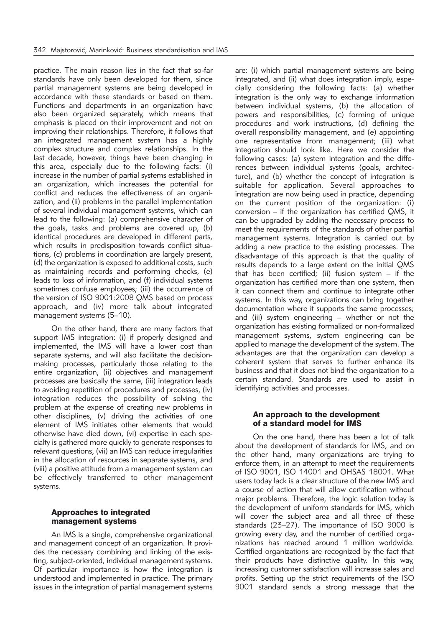practice. The main reason lies in the fact that so-far standards have only been developed for them, since partial management systems are being developed in accordance with these standards or based on them. Functions and departments in an organization have also been organized separately, which means that emphasis is placed on their improvement and not on improving their relationships. Therefore, it follows that an integrated management system has a highly complex structure and complex relationships. In the last decade, however, things have been changing in this area, especially due to the following facts: (i) increase in the number of partial systems established in an organization, which increases the potential for conflict and reduces the effectiveness of an organization, and (ii) problems in the parallel implementation of several individual management systems, which can lead to the following: (a) comprehensive character of the goals, tasks and problems are covered up, (b) identical procedures are developed in different parts, which results in predisposition towards conflict situations, (c) problems in coordination are largely present, (d) the organization is exposed to additional costs, such as maintaining records and performing checks, (e) leads to loss of information, and (f) individual systems sometimes confuse employees; (iii) the occurrence of the version of ISO 9001:2008 QMS based on process approach, and (iv) more talk about integrated management systems (5–10).

On the other hand, there are many factors that support IMS integration: (i) if properly designed and implemented, the IMS will have a lower cost than separate systems, and will also facilitate the decisionmaking processes, particularly those relating to the entire organization, (ii) objectives and management processes are basically the same, (iii) integration leads to avoiding repetition of procedures and processes, (iv) integration reduces the possibility of solving the problem at the expense of creating new problems in other disciplines, (v) driving the activities of one element of IMS initiates other elements that would otherwise have died down, (vi) expertise in each specialty is gathered more quickly to generate responses to relevant questions, (vii) an IMS can reduce irregularities in the allocation of resources in separate systems, and (viii) a positive attitude from a management system can be effectively transferred to other management systems.

# Approaches to integrated management systems

An IMS is a single, comprehensive organizational and management concept of an organization. It provides the necessary combining and linking of the existing, subject-oriented, individual management systems. Of particular importance is how the integration is understood and implemented in practice. The primary issues in the integration of partial management systems

are: (i) which partial management systems are being integrated, and (ii) what does integration imply, especially considering the following facts: (a) whether integration is the only way to exchange information between individual systems, (b) the allocation of powers and responsibilities, (c) forming of unique procedures and work instructions, (d) defining the overall responsibility management, and (e) appointing one representative from management; (iii) what integration should look like. Here we consider the following cases: (a) system integration and the differences between individual systems (goals, architecture), and (b) whether the concept of integration is suitable for application. Several approaches to integration are now being used in practice, depending on the current position of the organization: (i) conversion – if the organization has certified QMS, it can be upgraded by adding the necessary process to meet the requirements of the standards of other partial management systems. Integration is carried out by adding a new practice to the existing processes. The disadvantage of this approach is that the quality of results depends to a large extent on the initial QMS that has been certified; (ii) fusion system – if the organization has certified more than one system, then it can connect them and continue to integrate other systems. In this way, organizations can bring together documentation where it supports the same processes; and (iii) system engineering – whether or not the organization has existing formalized or non-formalized management systems, system engineering can be applied to manage the development of the system. The advantages are that the organization can develop a coherent system that serves to further enhance its business and that it does not bind the organization to a certain standard. Standards are used to assist in identifying activities and processes.

# An approach to the development of a standard model for IMS

On the one hand, there has been a lot of talk about the development of standards for IMS, and on the other hand, many organizations are trying to enforce them, in an attempt to meet the requirements of ISO 9001, ISO 14001 and OHSAS 18001. What users today lack is a clear structure of the new IMS and a course of action that will allow certification without major problems. Therefore, the logic solution today is the development of uniform standards for IMS, which will cover the subject area and all three of these standards (23–27). The importance of ISO 9000 is growing every day, and the number of certified organizations has reached around 1 million worldwide. Certified organizations are recognized by the fact that their products have distinctive quality. In this way, increasing customer satisfaction will increase sales and profits. Setting up the strict requirements of the ISO 9001 standard sends a strong message that the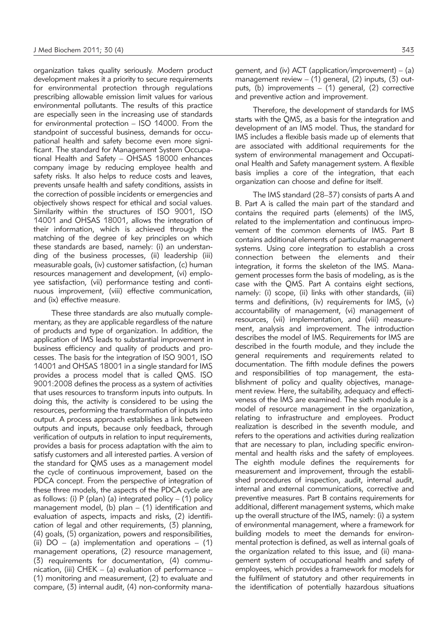organization takes quality seriously. Modern product development makes it a priority to secure requirements for environmental protection through regulations prescribing allowable emission limit values for various environmental pollutants. The results of this practice are especially seen in the increasing use of standards for environmental protection – ISO 14000. From the standpoint of successful business, demands for occupational health and safety become even more significant. The standard for Management System Occupational Health and Safety – OHSAS 18000 enhances company image by reducing employee health and safety risks. It also helps to reduce costs and leaves, prevents unsafe health and safety conditions, assists in the correction of possible incidents or emergencies and objectively shows respect for ethical and social values. Similarity within the structures of ISO 9001, ISO 14001 and OHSAS 18001, allows the integration of their information, which is achieved through the matching of the degree of key principles on which these standards are based, namely: (i) an understanding of the business processes, (ii) leadership (iii) measurable goals, (iv) customer satisfaction, (c) human resources management and development, (vi) employee satisfaction, (vii) performance testing and continuous improvement, (viii) effective communication, and (ix) effective measure.

These three standards are also mutually complementary, as they are applicable regardless of the nature of products and type of organization. In addition, the application of IMS leads to substantial improvement in business efficiency and quality of products and processes. The basis for the integration of ISO 9001, ISO 14001 and OHSAS 18001 in a single standard for IMS provides a process model that is called QMS. ISO 9001:2008 defines the process as a system of activities that uses resources to transform inputs into outputs. In doing this, the activity is considered to be using the resources, performing the transformation of inputs into output. A process approach establishes a link between outputs and inputs, because only feedback, through verification of outputs in relation to input requirements, provides a basis for process adaptation with the aim to satisfy customers and all interested parties. A version of the standard for QMS uses as a management model the cycle of continuous improvement, based on the PDCA concept. From the perspective of integration of these three models, the aspects of the PDCA cycle are as follows: (i)  $P$  (plan) (a) integrated policy – (1) policy management model, (b) plan  $-$  (1) identification and evaluation of aspects, impacts and risks, (2) identification of legal and other requirements, (3) planning, (4) goals, (5) organization, powers and responsibilities, (ii)  $DO - (a)$  implementation and operations  $- (1)$ management operations, (2) resource management, (3) requirements for documentation, (4) commu nication, (iii) CHEK – (a) evaluation of performance – (1) monitoring and measurement, (2) to evaluate and compare, (3) internal audit, (4) non-conformity mana -

gement, and (iv) ACT (application/improvement) – (a) management review  $-$  (1) general, (2) inputs, (3) outputs,  $(b)$  improvements  $-$  (1) general, (2) corrective and preventive action and improvement.

Therefore, the development of standards for IMS starts with the QMS, as a basis for the integration and development of an IMS model. Thus, the standard for IMS includes a flexible basis made up of elements that are associated with additional requirements for the system of environmental management and Occupational Health and Safety management system. A flexible basis implies a core of the integration, that each organization can choose and define for itself.

The IMS standard (28–37) consists of parts A and B. Part A is called the main part of the standard and contains the required parts (elements) of the IMS, related to the implementation and continuous improvement of the common elements of IMS. Part B contains additional elements of particular management systems. Using core integration to establish a cross connection between the elements and their integration, it forms the skeleton of the IMS. Management processes form the basis of modeling, as is the case with the QMS. Part A contains eight sections, namely: (i) scope, (ii) links with other standards, (iii) terms and definitions, (iv) requirements for IMS, (v) accountability of management, (vi) management of resources, (vii) implementation, and (viii) measurement, analysis and improvement. The introduction describes the model of IMS. Requirements for IMS are described in the fourth module, and they include the general requirements and requirements related to documentation. The fifth module defines the powers and responsibilities of top management, the establishment of policy and quality objectives, management review. Here, the suitability, adequacy and effectiveness of the IMS are examined. The sixth module is a model of resource management in the organization, relating to infrastructure and employees. Product realization is described in the seventh module, and refers to the operations and activities during realization that are necessary to plan, including specific environmental and health risks and the safety of employees. The eighth module defines the requirements for measurement and improvement, through the established procedures of inspection, audit, internal audit, internal and external communications, corrective and preventive measures. Part B contains requirements for additional, different management systems, which make up the overall structure of the IMS, namely: (i) a system of environmental management, where a framework for building models to meet the demands for environmental protection is defined, as well as internal goals of the organization related to this issue, and (ii) mana gement system of occupational health and safety of employees, which provides a framework for models for the fulfilment of statutory and other requirements in the identification of potentially hazardous situations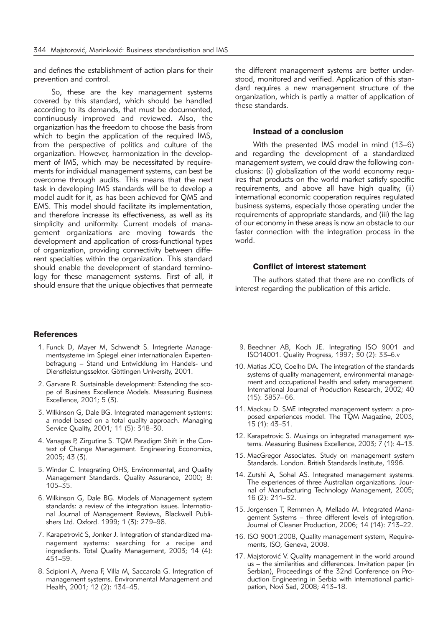and defines the establishment of action plans for their prevention and control.

So, these are the key management systems covered by this standard, which should be handled according to its demands, that must be documented, continuously improved and reviewed. Also, the organization has the freedom to choose the basis from which to begin the application of the required IMS, from the perspective of politics and culture of the organization. However, harmonization in the development of IMS, which may be necessitated by requirements for individual management systems, can best be overcome through audits. This means that the next task in developing IMS standards will be to develop a model audit for it, as has been achieved for QMS and EMS. This model should facilitate its implementation, and therefore increase its effectiveness, as well as its simplicity and uniformity. Current models of management organizations are moving towards the development and application of cross-functional types of organization, providing connectivity between different specialties within the organization. This standard should enable the development of standard terminology for these management systems. First of all, it should ensure that the unique objectives that permeate

#### **References**

- 1. Funck D, Mayer M, Schwendt S. Integrierte Managementsysteme im Spiegel einer internationalen Expertenbefragung - Stand und Entwicklung im Handels- und Dienstleistungssektor. Göttingen University, 2001.
- 2. Garvare R. Sustainable development: Extending the scope of Business Excellence Models*.* Measuring Business Excellence, 2001; 5 (3).
- 3. Wilkinson G, Dale BG. Integrated management systems: a model based on a total quality approach. Managing Service Quality, 2001; 11 (5): 318–30.
- 4. Vanagas P, Zirgutine S. TOM Paradigm Shift in the Context of Change Management. Engineering Economics, 2005; 43 (3).
- 5. Winder C. Integrating OHS, Environmental, and Quality Management Standards. Quality Assurance, 2000; 8: 105–35.
- 6. Wilkinson G, Dale BG. Models of Management system standards: a review of the integration issues. International Journal of Management Reviews, Blackwell Publishers Ltd. Oxford. 1999; 1 (3): 279–98.
- 7. Karapetrović S, Jonker J. Integration of standardized mana gement systems: searching for a recipe and ingredients. Total Quality Management, 2003; 14 (4): 451–59.
- 8. Scipioni A, Arena F, Villa M, Saccarola G. Integration of management systems. Environmental Management and Health, 2001; 12 (2): 134–45.

the different management systems are better understood, monitored and verified. Application of this standard requires a new management structure of the organization, which is partly a matter of application of these standards.

#### Instead of a conclusion

With the presented IMS model in mind (13–6) and regarding the development of a standardized management system, we could draw the following conclusions: (i) globalization of the world economy requires that products on the world market satisfy specific requirements, and above all have high quality, (ii) international economic cooperation requires regulated business systems, especially those operating under the requirements of appropriate standards, and (iii) the lag of our economy in these areas is now an obstacle to our faster connection with the integration process in the world.

# Conflict of interest statement

The authors stated that there are no conflicts of interest regarding the publication of this article.

- 9. Beechner AB, Koch JE. Integrating ISO 9001 and ISO14001. Quality Progress, 1997; 30 (2): 33–6.v
- 10. Matias JCO, Coelho DA. The integration of the standards systems of quality management, environmental management and occupational health and safety management. International Journal of Production Research, 2002; 40 (15): 3857– 66.
- 11. Mackau D. SME integrated management system: a proposed experiences model. The TQM Magazine, 2003; 15 (1): 43–51.
- 12. Karapetrovic S. Musings on integrated management systems. Measuring Business Excellence, 2003; 7 (1): 4–13.
- 13. MacGregor Associates. Study on management system Standards. London. British Standards Institute, 1996.
- 14. Zutshi A, Sohal AS. Integrated management systems. The experiences of three Australian organizations. Jour nal of Manufacturing Technology Management, 2005; 16 (2): 211–32.
- 15. Jorgensen T, Remmen A, Mellado M. Integrated Mana gement Systems – three different levels of integration. Journal of Cleaner Production, 2006; 14 (14): 713–22.
- 16. ISO 9001:2008, Quality management system, Requirements, ISO, Geneva, 2008.
- 17. Majstorović V. Quality management in the world around us – the similarities and differences. Invitation paper (in Serbian), Proceedings of the 32nd Conference on Production Engineering in Serbia with international participation, Novi Sad, 2008; 413–18.